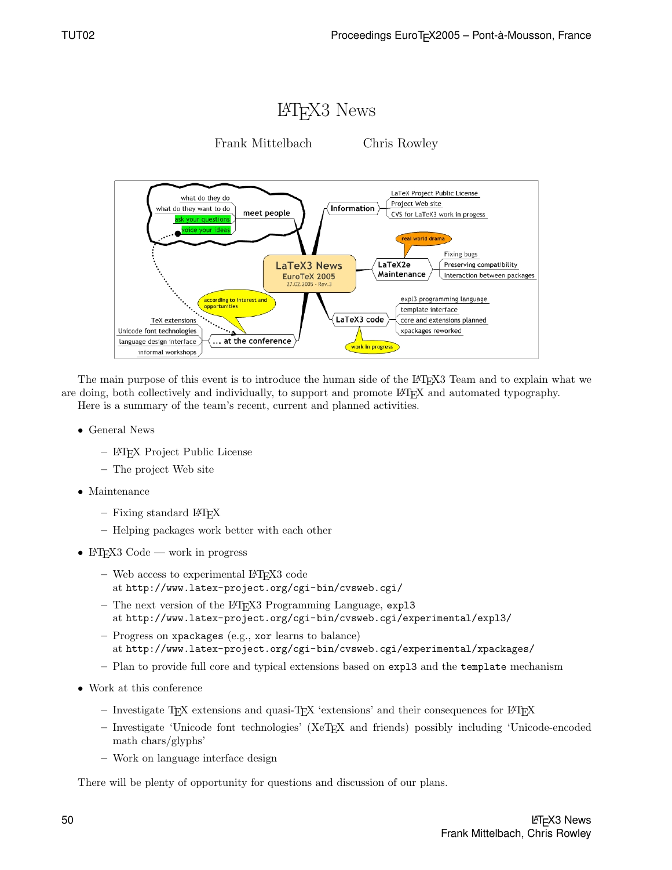

The main purpose of this event is to introduce the human side of the LATEX3 Team and to explain what we are doing, both collectively and individually, to support and promote L<sup>AT</sup>EX and automated typography. Here is a summary of the team's recent, current and planned activities.

- General News
	- LATEX Project Public License
	- The project Web site
- Maintenance
	- $-$  Fixing standard LAT<sub>F</sub>X
	- Helping packages work better with each other
- LAT<sub>F</sub>X3 Code work in progress
	- Web access to experimental LATEX3 code at http://www.latex-project.org/cgi-bin/cvsweb.cgi/
	- The next version of the LAT<sub>EX3</sub> Programming Language, expl<sub>3</sub> at http://www.latex-project.org/cgi-bin/cvsweb.cgi/experimental/expl3/
	- Progress on xpackages (e.g., xor learns to balance) at http://www.latex-project.org/cgi-bin/cvsweb.cgi/experimental/xpackages/
	- Plan to provide full core and typical extensions based on expl3 and the template mechanism
- Work at this conference
	- $-$  Investigate T<sub>E</sub>X extensions and quasi-T<sub>E</sub>X 'extensions' and their consequences for L<sup>AT</sup>E<sub>X</sub>
	- Investigate 'Unicode font technologies' (XeTEX and friends) possibly including 'Unicode-encoded math chars/glyphs'
	- Work on language interface design

There will be plenty of opportunity for questions and discussion of our plans.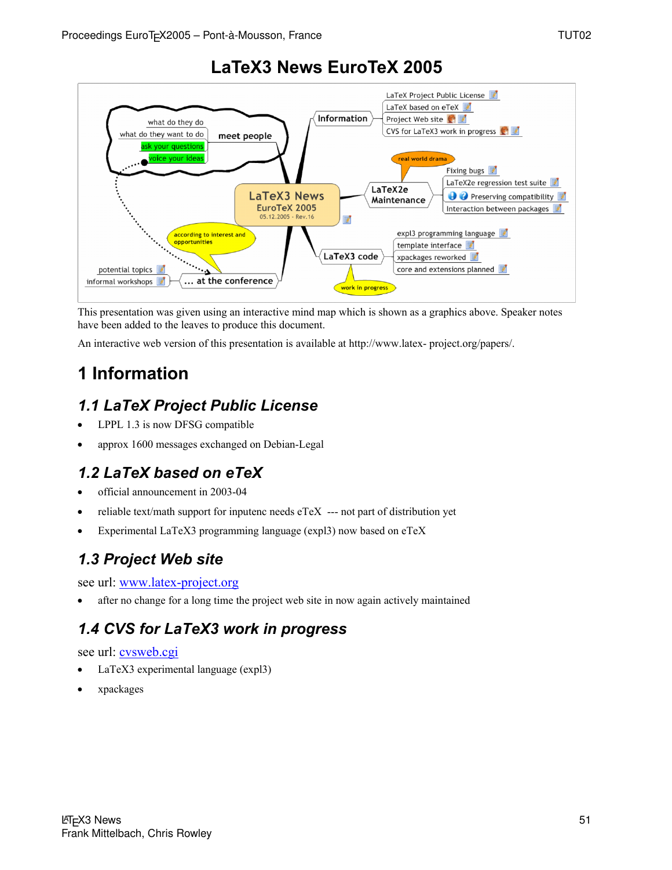

# **LaTeX3 News EuroTeX 2005**

This presentation was given using an interactive mind map which is shown as a graphics above. Speaker notes have been added to the leaves to produce this document.

An interactive web version of this presentation is available at http://www.latex- project.org/papers/.

# **1 Information**

## *1.1 LaTeX Project Public License*

- LPPL 1.3 is now DFSG compatible
- approx 1600 messages exchanged on Debian-Legal

## *1.2 LaTeX based on eTeX*

- official announcement in 2003-04
- reliable text/math support for inputenc needs  $e$ TeX  $-$  not part of distribution yet
- Experimental LaTeX3 programming language (expl3) now based on eTeX

## *1.3 Project Web site*

see url: www.latex-project.org

after no change for a long time the project web site in now again actively maintained

# *1.4 CVS for LaTeX3 work in progress*

## see url: cvsweb.cgi

- LaTeX3 experimental language (expl3)
- xpackages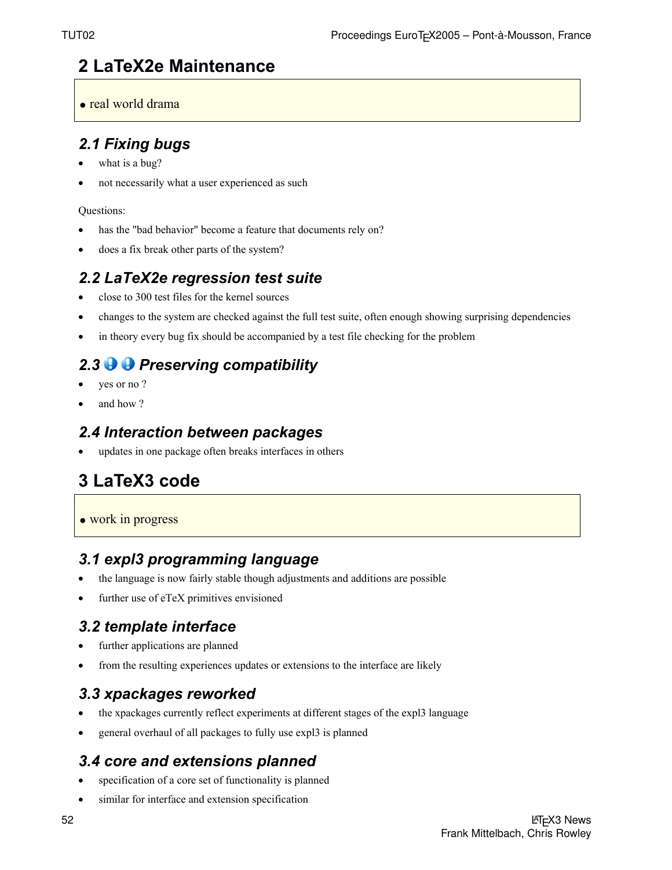# **2 LaTeX2e Maintenance**

• real world drama

## *2.1 Fixing bugs*

- what is a bug?
- not necessarily what a user experienced as such

## Questions:

- has the "bad behavior" become a feature that documents rely on?
- does a fix break other parts of the system?

## *2.2 LaTeX2e regression test suite*

- close to 300 test files for the kernel sources
- changes to the system are checked against the full test suite, often enough showing surprising dependencies
- in theory every bug fix should be accompanied by a test file checking for the problem

# 2.3 **P Preserving compatibility**

- yes or no?
- and how?

## *2.4 Interaction between packages*

updates in one package often breaks interfaces in others

# **3 LaTeX3 code**

• work in progress

## *3.1 expl3 programming language*

- the language is now fairly stable though adjustments and additions are possible
- further use of eTeX primitives envisioned

# *3.2 template interface*

- further applications are planned
- from the resulting experiences updates or extensions to the interface are likely

# *3.3 xpackages reworked*

- the xpackages currently reflect experiments at different stages of the expl3 language
- general overhaul of all packages to fully use expl3 is planned

## *3.4 core and extensions planned*

- specification of a core set of functionality is planned
- similar for interface and extension specification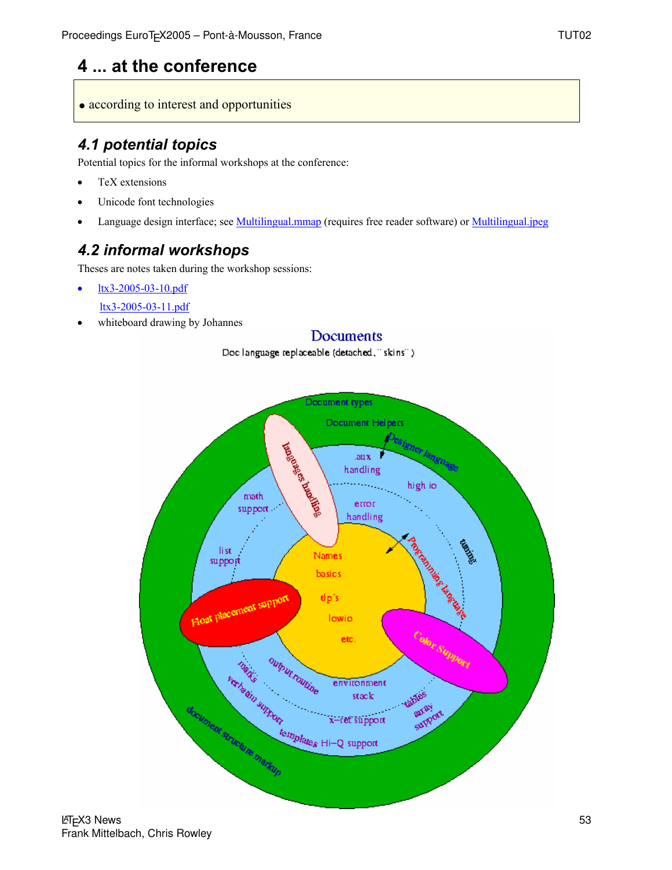# **4 ... at the conference**

• according to interest and opportunities

## *4.1 potential topics*

Potential topics for the informal workshops at the conference:

- TeX extensions
- Unicode font technologies
- Language design interface; see **Multilingual.mmap** (requires free reader software) or **Multilingual.jpeg**

Doc language replaceable (detached," skins")

# *4.2 informal workshops*

Theses are notes taken during the workshop sessions:

- ltx3-2005-03-10.pdf
- ltx3-2005-03-11.pdf
- whiteboard drawing by Johannes



Documents

**LAT<sub>F</sub>X3** News Frank Mittelbach, Chris Rowley